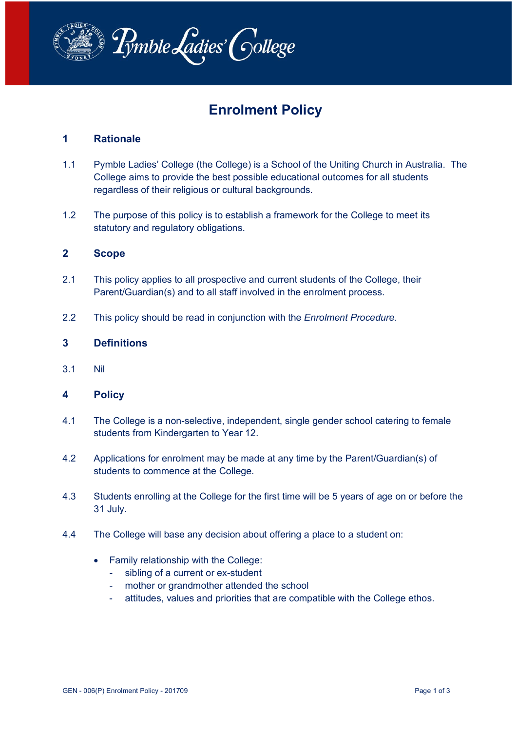

# **Enrolment Policy**

# **1 Rationale**

- 1.1 Pymble Ladies' College (the College) is a School of the Uniting Church in Australia. The College aims to provide the best possible educational outcomes for all students regardless of their religious or cultural backgrounds.
- 1.2 The purpose of this policy is to establish a framework for the College to meet its statutory and regulatory obligations.

# **2 Scope**

- 2.1 This policy applies to all prospective and current students of the College, their Parent/Guardian(s) and to all staff involved in the enrolment process.
- 2.2 This policy should be read in conjunction with the *Enrolment Procedure.*

#### **3 Definitions**

3.1 Nil

# **4 Policy**

- 4.1 The College is a non-selective, independent, single gender school catering to female students from Kindergarten to Year 12.
- 4.2 Applications for enrolment may be made at any time by the Parent/Guardian(s) of students to commence at the College.
- 4.3 Students enrolling at the College for the first time will be 5 years of age on or before the 31 July.
- 4.4 The College will base any decision about offering a place to a student on:
	- Family relationship with the College:
		- sibling of a current or ex-student
		- mother or grandmother attended the school
		- attitudes, values and priorities that are compatible with the College ethos.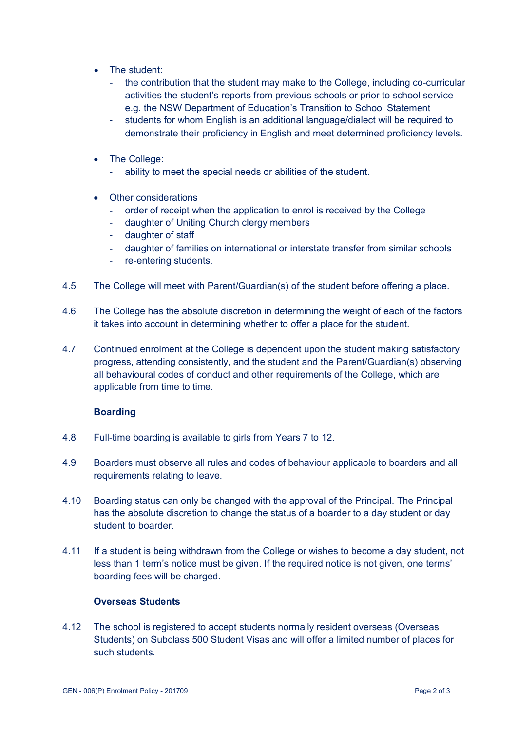- The student:
	- the contribution that the student may make to the College, including co-curricular activities the student's reports from previous schools or prior to school service e.g. the NSW Department of Education's Transition to School Statement
	- students for whom English is an additional language/dialect will be required to demonstrate their proficiency in English and meet determined proficiency levels.
- The College:
	- ability to meet the special needs or abilities of the student.
- Other considerations
	- order of receipt when the application to enrol is received by the College
	- daughter of Uniting Church clergy members
	- daughter of staff
	- daughter of families on international or interstate transfer from similar schools
	- re-entering students.
- 4.5 The College will meet with Parent/Guardian(s) of the student before offering a place.
- 4.6 The College has the absolute discretion in determining the weight of each of the factors it takes into account in determining whether to offer a place for the student.
- 4.7 Continued enrolment at the College is dependent upon the student making satisfactory progress, attending consistently, and the student and the Parent/Guardian(s) observing all behavioural codes of conduct and other requirements of the College, which are applicable from time to time.

#### **Boarding**

- 4.8 Full-time boarding is available to girls from Years 7 to 12.
- 4.9 Boarders must observe all rules and codes of behaviour applicable to boarders and all requirements relating to leave.
- 4.10 Boarding status can only be changed with the approval of the Principal. The Principal has the absolute discretion to change the status of a boarder to a day student or day student to boarder.
- 4.11 If a student is being withdrawn from the College or wishes to become a day student, not less than 1 term's notice must be given. If the required notice is not given, one terms' boarding fees will be charged.

#### **Overseas Students**

4.12 The school is registered to accept students normally resident overseas (Overseas Students) on Subclass 500 Student Visas and will offer a limited number of places for such students.